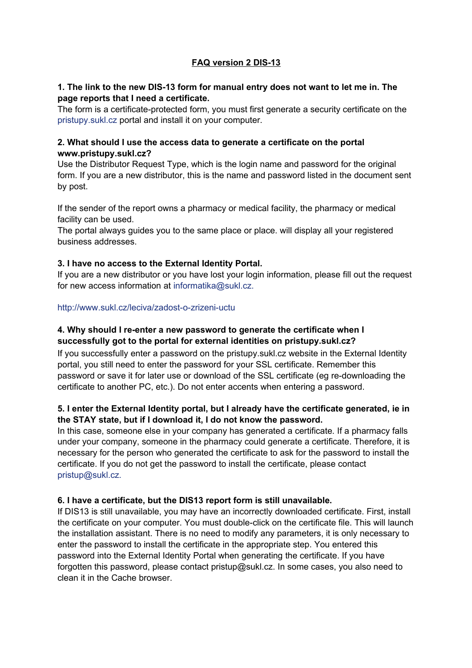# **FAQ version 2 DIS-13**

#### **1. The link to the new DIS-13 form for manual entry does not want to let me in. The page reports that I need a certificate.**

The form is a certificate-protected form, you must first generate a security certificate on the pristupy.sukl.cz portal and install it on your computer.

### **2. What should I use the access data to generate a certificate on the portal www.pristupy.sukl.cz?**

Use the Distributor Request Type, which is the login name and password for the original form. If you are a new distributor, this is the name and password listed in the document sent by post.

If the sender of the report owns a pharmacy or medical facility, the pharmacy or medical facility can be used.

The portal always guides you to the same place or place. will display all your registered business addresses.

### **3. I have no access to the External Identity Portal.**

If you are a new distributor or you have lost your login information, please fill out the request for new access information at informatika@sukl.cz.

#### http://www.sukl.cz/leciva/zadost-o-zrizeni-uctu

### **4. Why should I re-enter a new password to generate the certificate when I successfully got to the portal for external identities on pristupy.sukl.cz?**

If you successfully enter a password on the pristupy.sukl.cz website in the External Identity portal, you still need to enter the password for your SSL certificate. Remember this password or save it for later use or download of the SSL certificate (eg re-downloading the certificate to another PC, etc.). Do not enter accents when entering a password.

## **5. I enter the External Identity portal, but I already have the certificate generated, ie in the STAY state, but if I download it, I do not know the password.**

In this case, someone else in your company has generated a certificate. If a pharmacy falls under your company, someone in the pharmacy could generate a certificate. Therefore, it is necessary for the person who generated the certificate to ask for the password to install the certificate. If you do not get the password to install the certificate, please contact pristup@sukl.cz.

#### **6. I have a certificate, but the DIS13 report form is still unavailable.**

If DIS13 is still unavailable, you may have an incorrectly downloaded certificate. First, install the certificate on your computer. You must double-click on the certificate file. This will launch the installation assistant. There is no need to modify any parameters, it is only necessary to enter the password to install the certificate in the appropriate step. You entered this password into the External Identity Portal when generating the certificate. If you have forgotten this password, please contact pristup@sukl.cz. In some cases, you also need to clean it in the Cache browser.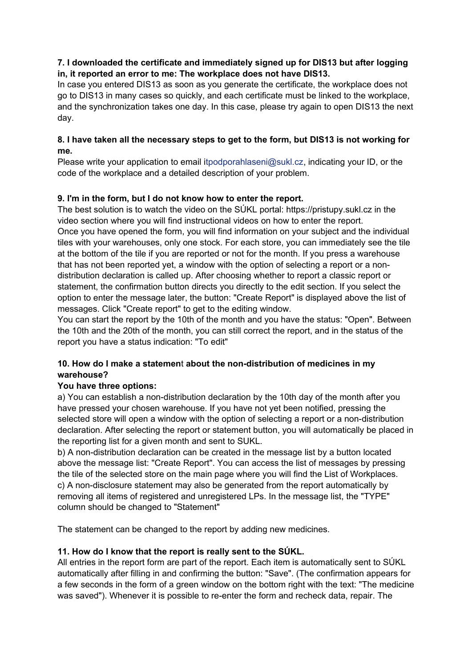## **7. I downloaded the certificate and immediately signed up for DIS13 but after logging in, it reported an error to me: The workplace does not have DIS13.**

In case you entered DIS13 as soon as you generate the certificate, the workplace does not go to DIS13 in many cases so quickly, and each certificate must be linked to the workplace, and the synchronization takes one day. In this case, please try again to open DIS13 the next day.

## **8. I have taken all the necessary steps to get to the form, but DIS13 is not working for me.**

Please write your application to email itpodporahlaseni@sukl.cz, indicating your ID, or the code of the workplace and a detailed description of your problem.

# **9. I'm in the form, but I do not know how to enter the report.**

The best solution is to watch the video on the SÚKL portal: https://pristupy.sukl.cz in the video section where you will find instructional videos on how to enter the report. Once you have opened the form, you will find information on your subject and the individual tiles with your warehouses, only one stock. For each store, you can immediately see the tile at the bottom of the tile if you are reported or not for the month. If you press a warehouse that has not been reported yet, a window with the option of selecting a report or a nondistribution declaration is called up. After choosing whether to report a classic report or statement, the confirmation button directs you directly to the edit section. If you select the option to enter the message later, the button: "Create Report" is displayed above the list of messages. Click "Create report" to get to the editing window.

You can start the report by the 10th of the month and you have the status: "Open". Between the 10th and the 20th of the month, you can still correct the report, and in the status of the report you have a status indication: "To edit"

## **10. How do I make a statemen**t **about the non-distribution of medicines in my warehouse?**

## **You have three options:**

a) You can establish a non-distribution declaration by the 10th day of the month after you have pressed your chosen warehouse. If you have not yet been notified, pressing the selected store will open a window with the option of selecting a report or a non-distribution declaration. After selecting the report or statement button, you will automatically be placed in the reporting list for a given month and sent to SUKL.

b) A non-distribution declaration can be created in the message list by a button located above the message list: "Create Report". You can access the list of messages by pressing the tile of the selected store on the main page where you will find the List of Workplaces. c) A non-disclosure statement may also be generated from the report automatically by removing all items of registered and unregistered LPs. In the message list, the "TYPE" column should be changed to "Statement"

The statement can be changed to the report by adding new medicines.

## **11. How do I know that the report is really sent to the SÚKL.**

All entries in the report form are part of the report. Each item is automatically sent to SÚKL automatically after filling in and confirming the button: "Save". (The confirmation appears for a few seconds in the form of a green window on the bottom right with the text: "The medicine was saved"). Whenever it is possible to re-enter the form and recheck data, repair. The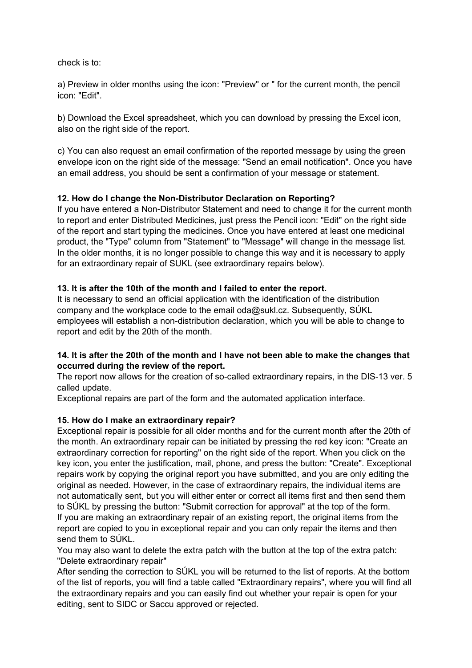check is to:

a) Preview in older months using the icon: "Preview" or " for the current month, the pencil icon: "Edit".

b) Download the Excel spreadsheet, which you can download by pressing the Excel icon, also on the right side of the report.

c) You can also request an email confirmation of the reported message by using the green envelope icon on the right side of the message: "Send an email notification". Once you have an email address, you should be sent a confirmation of your message or statement.

### **12. How do I change the Non-Distributor Declaration on Reporting?**

If you have entered a Non-Distributor Statement and need to change it for the current month to report and enter Distributed Medicines, just press the Pencil icon: "Edit" on the right side of the report and start typing the medicines. Once you have entered at least one medicinal product, the "Type" column from "Statement" to "Message" will change in the message list. In the older months, it is no longer possible to change this way and it is necessary to apply for an extraordinary repair of SUKL (see extraordinary repairs below).

### **13. It is after the 10th of the month and I failed to enter the report.**

It is necessary to send an official application with the identification of the distribution company and the workplace code to the email oda@sukl.cz. Subsequently, SÚKL employees will establish a non-distribution declaration, which you will be able to change to report and edit by the 20th of the month.

### **14. It is after the 20th of the month and I have not been able to make the changes that occurred during the review of the report.**

The report now allows for the creation of so-called extraordinary repairs, in the DIS-13 ver. 5 called update.

Exceptional repairs are part of the form and the automated application interface.

#### **15. How do I make an extraordinary repair?**

Exceptional repair is possible for all older months and for the current month after the 20th of the month. An extraordinary repair can be initiated by pressing the red key icon: "Create an extraordinary correction for reporting" on the right side of the report. When you click on the key icon, you enter the justification, mail, phone, and press the button: "Create". Exceptional repairs work by copying the original report you have submitted, and you are only editing the original as needed. However, in the case of extraordinary repairs, the individual items are not automatically sent, but you will either enter or correct all items first and then send them to SÚKL by pressing the button: "Submit correction for approval" at the top of the form. If you are making an extraordinary repair of an existing report, the original items from the report are copied to you in exceptional repair and you can only repair the items and then send them to SÚKL.

You may also want to delete the extra patch with the button at the top of the extra patch: "Delete extraordinary repair"

After sending the correction to SÚKL you will be returned to the list of reports. At the bottom of the list of reports, you will find a table called "Extraordinary repairs", where you will find all the extraordinary repairs and you can easily find out whether your repair is open for your editing, sent to SIDC or Saccu approved or rejected.